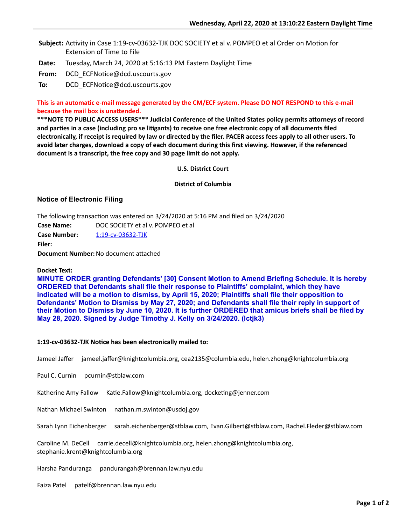Subject: Activity in Case 1:19-cv-03632-TJK DOC SOCIETY et al v. POMPEO et al Order on Motion for Extension of Time to File

- **Date:** Tuesday, March 24, 2020 at 5:16:13 PM Eastern Daylight Time
- From: DCD\_ECFNotice@dcd.uscourts.gov

**To:** DCD ECFNotice@dcd.uscourts.gov

# This is an automatic e-mail message generated by the CM/ECF system. Please DO NOT RESPOND to this e-mail **because the mail box is unattended.**

\*\*\*NOTE TO PUBLIC ACCESS USERS\*\*\* Judicial Conference of the United States policy permits attorneys of record and parties in a case (including pro se litigants) to receive one free electronic copy of all documents filed **electronically, if receipt is required by law or directed by the filer. PACER access fees apply to all other users. To avoid later charges, download a copy of each document during this first viewing. However, if the referenced document is a transcript, the free copy and 30 page limit do not apply.**

**U.S. District Court**

### **District of Columbia**

# **Notice of Electronic Filing**

The following transaction was entered on  $3/24/2020$  at 5:16 PM and filed on  $3/24/2020$ **Case Name:** DOC SOCIETY et al v. POMPEO et al **Case Number:** [1:19-cv-03632-TJK](https://ecf.dcd.uscourts.gov/cgi-bin/DktRpt.pl?213364) **Filer: Document Number:** No document attached

### **Docket Text:**

**MINUTE ORDER granting Defendants' [30] Consent Motion to Amend Briefing Schedule. It is hereby ORDERED that Defendants shall file their response to Plaintiffs' complaint, which they have indicated will be a motion to dismiss, by April 15, 2020; Plaintiffs shall file their opposition to Defendants' Motion to Dismiss by May 27, 2020; and Defendants shall file their reply in support of their Motion to Dismiss by June 10, 2020. It is further ORDERED that amicus briefs shall be filed by May 28, 2020. Signed by Judge Timothy J. Kelly on 3/24/2020. (lctjk3)**

### 1:19-cv-03632-TJK Notice has been electronically mailed to:

Jameel Jaffer jameel.jaffer@knightcolumbia.org, cea2135@columbia.edu, helen.zhong@knightcolumbia.org

Paul C. Curnin pcurnin@stblaw.com

Katherine Amy Fallow Katie.Fallow@knightcolumbia.org, docketing@jenner.com

Nathan Michael Swinton nathan.m.swinton@usdoj.gov

Sarah Lynn Eichenberger sarah.eichenberger@stblaw.com, Evan.Gilbert@stblaw.com, Rachel.Fleder@stblaw.com

Caroline M. DeCell carrie.decell@knightcolumbia.org, helen.zhong@knightcolumbia.org, stephanie.krent@knightcolumbia.org

Harsha Panduranga pandurangah@brennan.law.nyu.edu

Faiza Patel patelf@brennan.law.nyu.edu